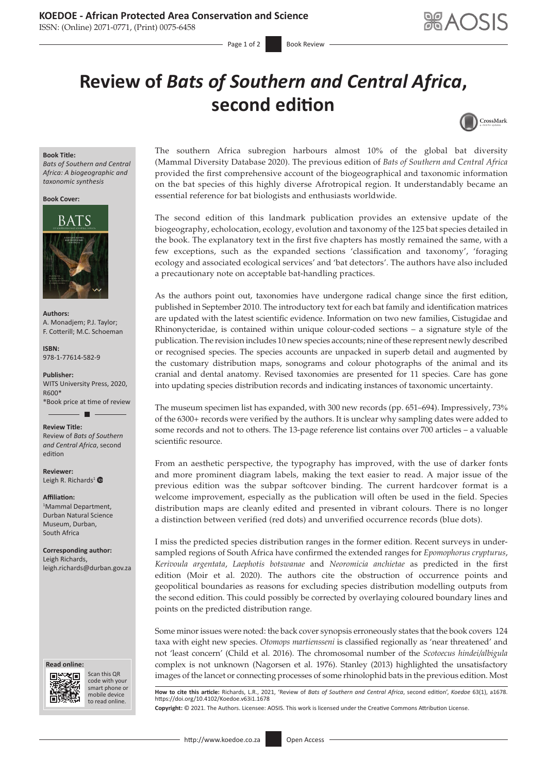ISSN: (Online) 2071-0771, (Print) 0075-6458

# **Review of** *Bats of Southern and Central Africa***, second edition**



### **Book Title:**

*Bats of Southern and Central Africa: A biogeographic and taxonomic synthesis*

**Book Cover:**



**Authors:** A. Monadjem; P.J. Taylor; F. Cotterill; M.C. Schoeman

**ISBN:** 978-1-77614-582-9

**Publisher:** WITS University Press, 2020, R600\* \*Book price at time of review

ш

**Review Title:**

Review of *Bats of Southern and Central Africa*, second edition

**Reviewer:** Leigh R. Richards<sup>1</sup> $\bullet$ 

#### **Affiliation:**

1 Mammal Department, Durban Natural Science Museum, Durban, South Africa

**Corresponding author:** Leigh Richards, [leigh.richards@durban.gov.za](mailto:leigh.richards@durban.gov.za)

#### **Read online: Read online:**



Scan this QR code with your Scan this QR<br>code with your<br>smart phone or<br>mobile device mobile device to read online. to read online.

The southern Africa subregion harbours almost 10% of the global bat diversity (Mammal Diversity Database 2020). The previous edition of *Bats of Southern and Central Africa* provided the first comprehensive account of the biogeographical and taxonomic information on the bat species of this highly diverse Afrotropical region. It understandably became an essential reference for bat biologists and enthusiasts worldwide.

The second edition of this landmark publication provides an extensive update of the biogeography, echolocation, ecology, evolution and taxonomy of the 125 bat species detailed in the book. The explanatory text in the first five chapters has mostly remained the same, with a few exceptions, such as the expanded sections 'classification and taxonomy', 'foraging ecology and associated ecological services' and 'bat detectors'. The authors have also included a precautionary note on acceptable bat-handling practices.

As the authors point out, taxonomies have undergone radical change since the first edition, published in September 2010. The introductory text for each bat family and identification matrices are updated with the latest scientific evidence. Information on two new families, Cistugidae and Rhinonycteridae, is contained within unique colour-coded sections – a signature style of the publication. The revision includes 10 new species accounts; nine of these represent newly described or recognised species. The species accounts are unpacked in superb detail and augmented by the customary distribution maps, sonograms and colour photographs of the animal and its cranial and dental anatomy. Revised taxonomies are presented for 11 species. Care has gone into updating species distribution records and indicating instances of taxonomic uncertainty.

The museum specimen list has expanded, with 300 new records (pp. 651–694). Impressively, 73% of the 6300+ records were verified by the authors. It is unclear why sampling dates were added to some records and not to others. The 13-page reference list contains over 700 articles – a valuable scientific resource.

From an aesthetic perspective, the typography has improved, with the use of darker fonts and more prominent diagram labels, making the text easier to read. A major issue of the previous edition was the subpar softcover binding. The current hardcover format is a welcome improvement, especially as the publication will often be used in the field. Species distribution maps are cleanly edited and presented in vibrant colours. There is no longer a distinction between verified (red dots) and unverified occurrence records (blue dots).

I miss the predicted species distribution ranges in the former edition. Recent surveys in undersampled regions of South Africa have confirmed the extended ranges for *Epomophorus crypturus*, *Kerivoula argentata*, *Laephotis botswanae* and *Neoromicia anchietae* as predicted in the first edition (Moir et al. 2020). The authors cite the obstruction of occurrence points and geopolitical boundaries as reasons for excluding species distribution modelling outputs from the second edition. This could possibly be corrected by overlaying coloured boundary lines and points on the predicted distribution range.

Some minor issues were noted: the back cover synopsis erroneously states that the book covers 124 taxa with eight new species. *Otomops martiensseni* is classified regionally as 'near threatened' and not 'least concern' (Child et al. 2016). The chromosomal number of the *Scotoecus hindei/albigula*  complex is not unknown (Nagorsen et al. 1976). Stanley (2013) highlighted the unsatisfactory images of the lancet or connecting processes of some rhinolophid bats in the previous edition. Most

**How to cite this article:** Richards, L.R., 2021, 'Review of *Bats of Southern and Central Africa*, second edition', *Koedoe* 63(1), a1678. <https://doi.org/10.4102/Koedoe.v63i1.1678> **Copyright:** © 2021. The Authors. Licensee: AOSIS. This work is licensed under the Creative Commons Attribution License.